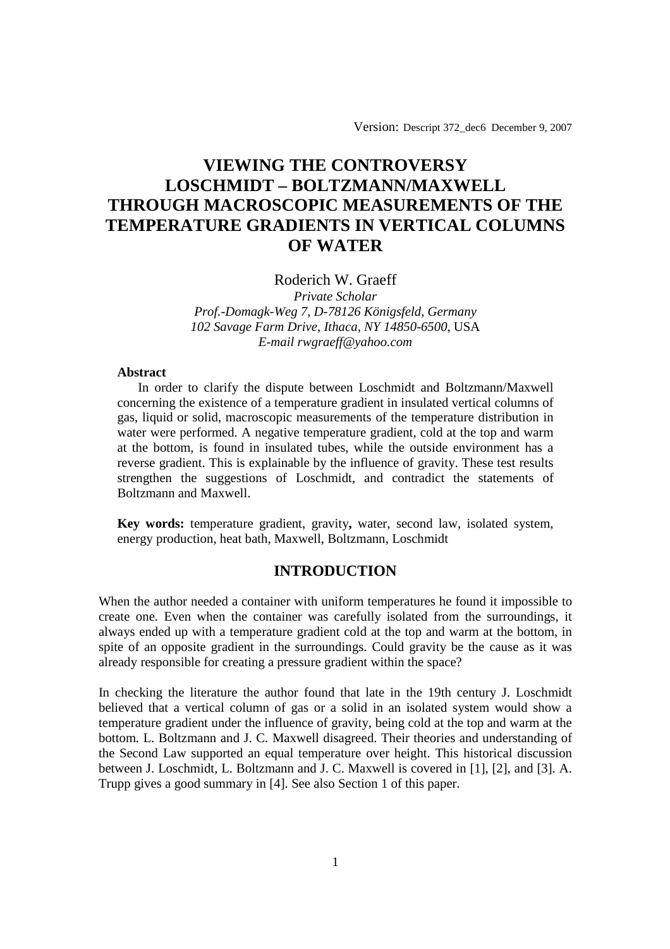Version: Descript 372\_dec6 December 9, 2007

# **VIEWING THE CONTROVERSY LOSCHMIDT – BOLTZMANN/MAXWELL THROUGH MACROSCOPIC MEASUREMENTS OF THE TEMPERATURE GRADIENTS IN VERTICAL COLUMNS OF WATER**

## Roderich W. Graeff

*Private Scholar Prof.-Domagk-Weg 7, D-78126 Königsfeld, Germany 102 Savage Farm Drive, Ithaca, NY 14850-6500*, USA *E-mail rwgraeff@yahoo.com*

#### **Abstract**

 In order to clarify the dispute between Loschmidt and Boltzmann/Maxwell concerning the existence of a temperature gradient in insulated vertical columns of gas, liquid or solid, macroscopic measurements of the temperature distribution in water were performed. A negative temperature gradient, cold at the top and warm at the bottom, is found in insulated tubes, while the outside environment has a reverse gradient. This is explainable by the influence of gravity. These test results strengthen the suggestions of Loschmidt, and contradict the statements of Boltzmann and Maxwell.

**Key words:** temperature gradient, gravity**,** water, second law, isolated system, energy production, heat bath, Maxwell, Boltzmann, Loschmidt

## **INTRODUCTION**

When the author needed a container with uniform temperatures he found it impossible to create one. Even when the container was carefully isolated from the surroundings, it always ended up with a temperature gradient cold at the top and warm at the bottom, in spite of an opposite gradient in the surroundings. Could gravity be the cause as it was already responsible for creating a pressure gradient within the space?

In checking the literature the author found that late in the 19th century J. Loschmidt believed that a vertical column of gas or a solid in an isolated system would show a temperature gradient under the influence of gravity, being cold at the top and warm at the bottom. L. Boltzmann and J. C. Maxwell disagreed. Their theories and understanding of the Second Law supported an equal temperature over height. This historical discussion between J. Loschmidt, L. Boltzmann and J. C. Maxwell is covered in [1], [2], and [3]. A. Trupp gives a good summary in [4]. See also Section 1 of this paper.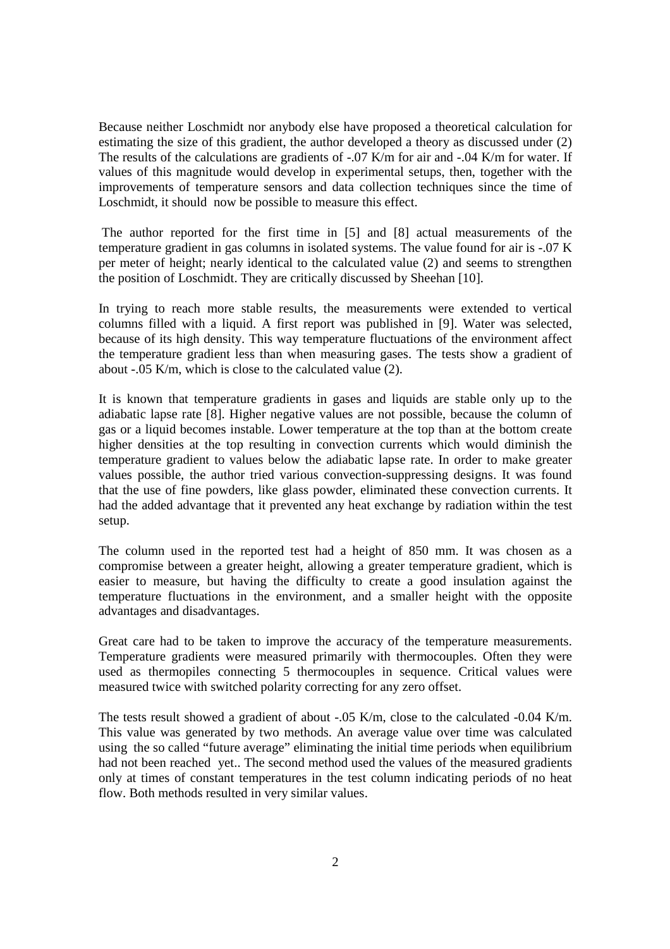Because neither Loschmidt nor anybody else have proposed a theoretical calculation for estimating the size of this gradient, the author developed a theory as discussed under (2) The results of the calculations are gradients of -.07 K/m for air and -.04 K/m for water. If values of this magnitude would develop in experimental setups, then, together with the improvements of temperature sensors and data collection techniques since the time of Loschmidt, it should now be possible to measure this effect.

 The author reported for the first time in [5] and [8] actual measurements of the temperature gradient in gas columns in isolated systems. The value found for air is -.07 K per meter of height; nearly identical to the calculated value (2) and seems to strengthen the position of Loschmidt. They are critically discussed by Sheehan [10].

In trying to reach more stable results, the measurements were extended to vertical columns filled with a liquid. A first report was published in [9]. Water was selected, because of its high density. This way temperature fluctuations of the environment affect the temperature gradient less than when measuring gases. The tests show a gradient of about -.05 K/m, which is close to the calculated value (2).

It is known that temperature gradients in gases and liquids are stable only up to the adiabatic lapse rate [8]. Higher negative values are not possible, because the column of gas or a liquid becomes instable. Lower temperature at the top than at the bottom create higher densities at the top resulting in convection currents which would diminish the temperature gradient to values below the adiabatic lapse rate. In order to make greater values possible, the author tried various convection-suppressing designs. It was found that the use of fine powders, like glass powder, eliminated these convection currents. It had the added advantage that it prevented any heat exchange by radiation within the test setup.

The column used in the reported test had a height of 850 mm. It was chosen as a compromise between a greater height, allowing a greater temperature gradient, which is easier to measure, but having the difficulty to create a good insulation against the temperature fluctuations in the environment, and a smaller height with the opposite advantages and disadvantages.

Great care had to be taken to improve the accuracy of the temperature measurements. Temperature gradients were measured primarily with thermocouples. Often they were used as thermopiles connecting 5 thermocouples in sequence. Critical values were measured twice with switched polarity correcting for any zero offset.

The tests result showed a gradient of about -.05 K/m, close to the calculated -0.04 K/m. This value was generated by two methods. An average value over time was calculated using the so called "future average" eliminating the initial time periods when equilibrium had not been reached yet.. The second method used the values of the measured gradients only at times of constant temperatures in the test column indicating periods of no heat flow. Both methods resulted in very similar values.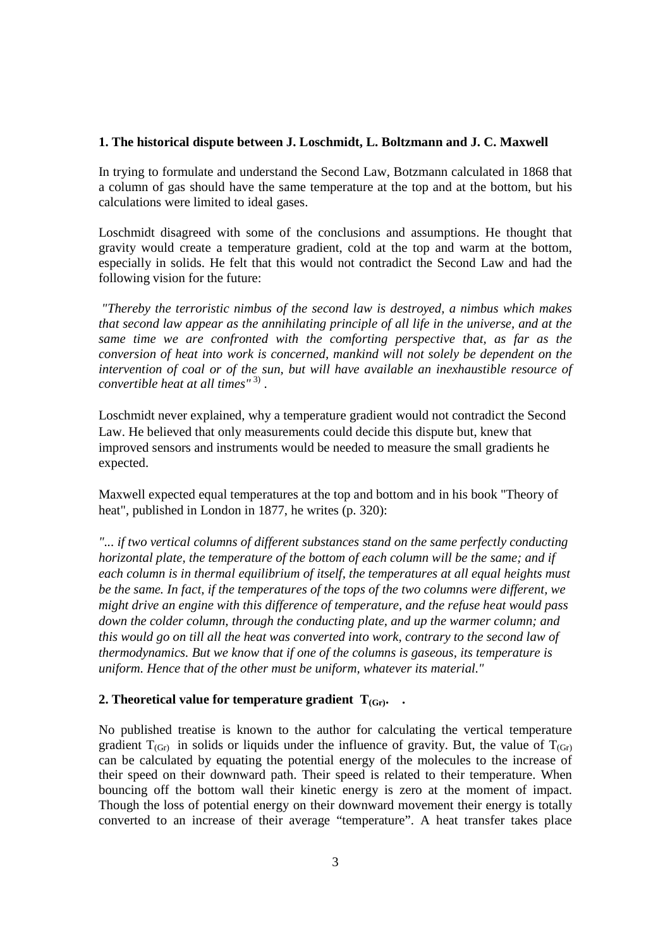#### **1. The historical dispute between J. Loschmidt, L. Boltzmann and J. C. Maxwell**

In trying to formulate and understand the Second Law, Botzmann calculated in 1868 that a column of gas should have the same temperature at the top and at the bottom, but his calculations were limited to ideal gases.

Loschmidt disagreed with some of the conclusions and assumptions. He thought that gravity would create a temperature gradient, cold at the top and warm at the bottom, especially in solids. He felt that this would not contradict the Second Law and had the following vision for the future:

*"Thereby the terroristic nimbus of the second law is destroyed, a nimbus which makes that second law appear as the annihilating principle of all life in the universe, and at the same time we are confronted with the comforting perspective that, as far as the conversion of heat into work is concerned, mankind will not solely be dependent on the intervention of coal or of the sun, but will have available an inexhaustible resource of convertible heat at all times"* 3) .

Loschmidt never explained, why a temperature gradient would not contradict the Second Law. He believed that only measurements could decide this dispute but, knew that improved sensors and instruments would be needed to measure the small gradients he expected.

Maxwell expected equal temperatures at the top and bottom and in his book "Theory of heat", published in London in 1877, he writes (p. 320):

*"... if two vertical columns of different substances stand on the same perfectly conducting horizontal plate, the temperature of the bottom of each column will be the same; and if each column is in thermal equilibrium of itself, the temperatures at all equal heights must be the same. In fact, if the temperatures of the tops of the two columns were different, we might drive an engine with this difference of temperature, and the refuse heat would pass down the colder column, through the conducting plate, and up the warmer column; and this would go on till all the heat was converted into work, contrary to the second law of thermodynamics. But we know that if one of the columns is gaseous, its temperature is uniform. Hence that of the other must be uniform, whatever its material."* 

### **2. Theoretical value for temperature gradient**  $T_{(Gr)}$ **. <b>.**

No published treatise is known to the author for calculating the vertical temperature gradient  $T_{(Gr)}$  in solids or liquids under the influence of gravity. But, the value of  $T_{(Gr)}$ can be calculated by equating the potential energy of the molecules to the increase of their speed on their downward path. Their speed is related to their temperature. When bouncing off the bottom wall their kinetic energy is zero at the moment of impact. Though the loss of potential energy on their downward movement their energy is totally converted to an increase of their average "temperature". A heat transfer takes place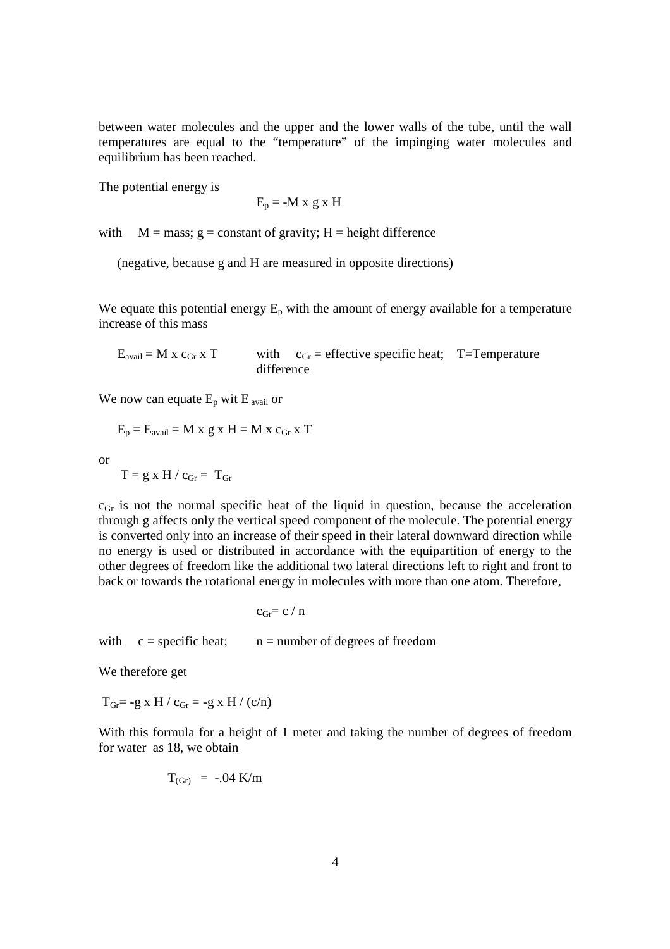between water molecules and the upper and the lower walls of the tube, until the wall temperatures are equal to the "temperature" of the impinging water molecules and equilibrium has been reached.

The potential energy is

$$
E_p = -M x g x H
$$

with  $M = \text{mass}; g = \text{constant of gravity}; H = \text{height difference}$ 

(negative, because g and H are measured in opposite directions)

We equate this potential energy  $E_p$  with the amount of energy available for a temperature increase of this mass

 $E_{\text{avail}} = M \times c_{\text{Gr}} \times T$  with  $c_{\text{Gr}} =$  effective specific heat; T=Temperature difference

We now can equate  $E_p$  wit  $E_{\text{avail}}$  or

$$
E_p = E_{avail} = M x g x H = M x c_{Gr} x T
$$

or

$$
T=g\;x\;H\;/\;c_{Gr}=\;T_{Gr}
$$

 $c_{\text{Gr}}$  is not the normal specific heat of the liquid in question, because the acceleration through g affects only the vertical speed component of the molecule. The potential energy is converted only into an increase of their speed in their lateral downward direction while no energy is used or distributed in accordance with the equipartition of energy to the other degrees of freedom like the additional two lateral directions left to right and front to back or towards the rotational energy in molecules with more than one atom. Therefore,

 $c_{\text{Gr}}= c / n$ 

with  $c = specific heat$ ;  $n = number of degrees of freedom$ 

We therefore get

 $T_{\text{Gr}} = -g \times H / c_{\text{Gr}} = -g \times H / (c/n)$ 

With this formula for a height of 1 meter and taking the number of degrees of freedom for water as 18, we obtain

$$
T_{\text{(Gr)}} = -.04 \text{ K/m}
$$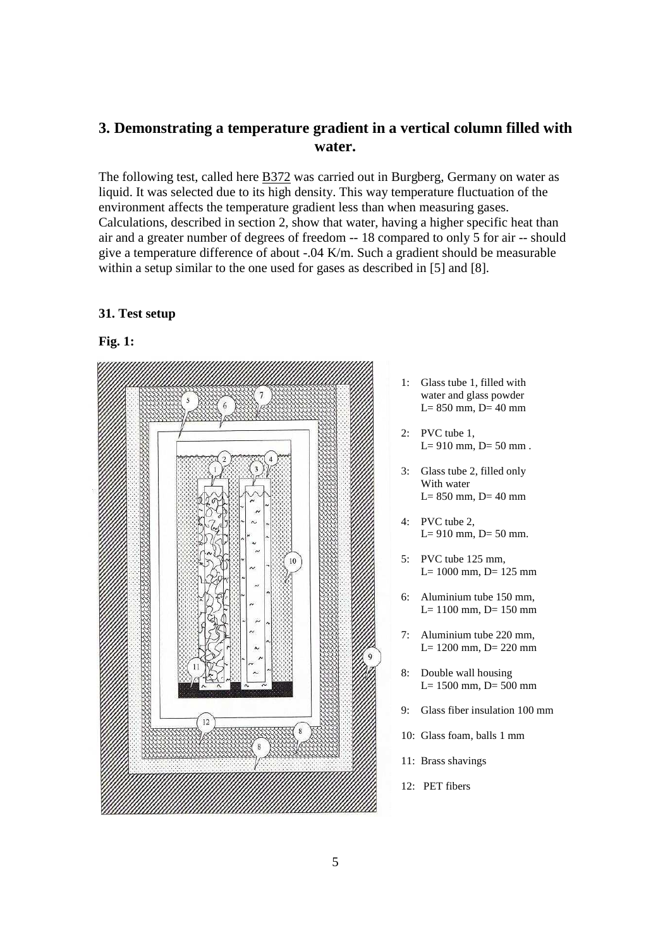# **3. Demonstrating a temperature gradient in a vertical column filled with water.**

The following test, called here B372 was carried out in Burgberg, Germany on water as liquid. It was selected due to its high density. This way temperature fluctuation of the environment affects the temperature gradient less than when measuring gases. Calculations, described in section 2, show that water, having a higher specific heat than air and a greater number of degrees of freedom -- 18 compared to only 5 for air -- should give a temperature difference of about -.04 K/m. Such a gradient should be measurable within a setup similar to the one used for gases as described in [5] and [8].

#### **31. Test setup**

## **Fig. 1:**



- 1: Glass tube 1, filled with water and glass powder  $L= 850$  mm,  $D= 40$  mm
- 2: PVC tube 1,  $L = 910$  mm,  $D = 50$  mm.
- 3: Glass tube 2, filled only With water  $L= 850$  mm,  $D= 40$  mm
- 4: PVC tube 2,  $L= 910$  mm,  $D= 50$  mm.
- 5: PVC tube 125 mm, L= 1000 mm, D= 125 mm
- 6: Aluminium tube 150 mm,  $L= 1100$  mm,  $D= 150$  mm
- 7: Aluminium tube 220 mm, L= 1200 mm, D= 220 mm
- 8: Double wall housing L= 1500 mm, D= 500 mm
- 9: Glass fiber insulation 100 mm
- 10: Glass foam, balls 1 mm
- 11: Brass shavings
- 12: PET fibers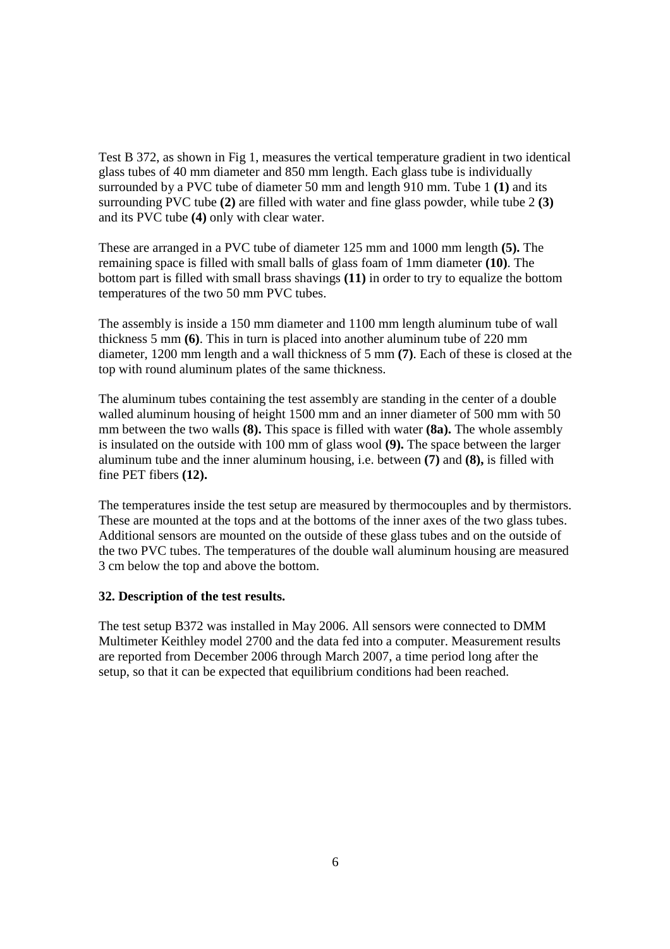Test B 372, as shown in Fig 1, measures the vertical temperature gradient in two identical glass tubes of 40 mm diameter and 850 mm length. Each glass tube is individually surrounded by a PVC tube of diameter 50 mm and length 910 mm. Tube 1 **(1)** and its surrounding PVC tube **(2)** are filled with water and fine glass powder, while tube 2 **(3)** and its PVC tube **(4)** only with clear water.

These are arranged in a PVC tube of diameter 125 mm and 1000 mm length **(5).** The remaining space is filled with small balls of glass foam of 1mm diameter **(10)**. The bottom part is filled with small brass shavings **(11)** in order to try to equalize the bottom temperatures of the two 50 mm PVC tubes.

The assembly is inside a 150 mm diameter and 1100 mm length aluminum tube of wall thickness 5 mm **(6)**. This in turn is placed into another aluminum tube of 220 mm diameter, 1200 mm length and a wall thickness of 5 mm **(7)**. Each of these is closed at the top with round aluminum plates of the same thickness.

The aluminum tubes containing the test assembly are standing in the center of a double walled aluminum housing of height 1500 mm and an inner diameter of 500 mm with 50 mm between the two walls **(8).** This space is filled with water **(8a).** The whole assembly is insulated on the outside with 100 mm of glass wool **(9).** The space between the larger aluminum tube and the inner aluminum housing, i.e. between **(7)** and **(8),** is filled with fine PET fibers **(12).**

The temperatures inside the test setup are measured by thermocouples and by thermistors. These are mounted at the tops and at the bottoms of the inner axes of the two glass tubes. Additional sensors are mounted on the outside of these glass tubes and on the outside of the two PVC tubes. The temperatures of the double wall aluminum housing are measured 3 cm below the top and above the bottom.

#### **32. Description of the test results.**

The test setup B372 was installed in May 2006. All sensors were connected to DMM Multimeter Keithley model 2700 and the data fed into a computer. Measurement results are reported from December 2006 through March 2007, a time period long after the setup, so that it can be expected that equilibrium conditions had been reached.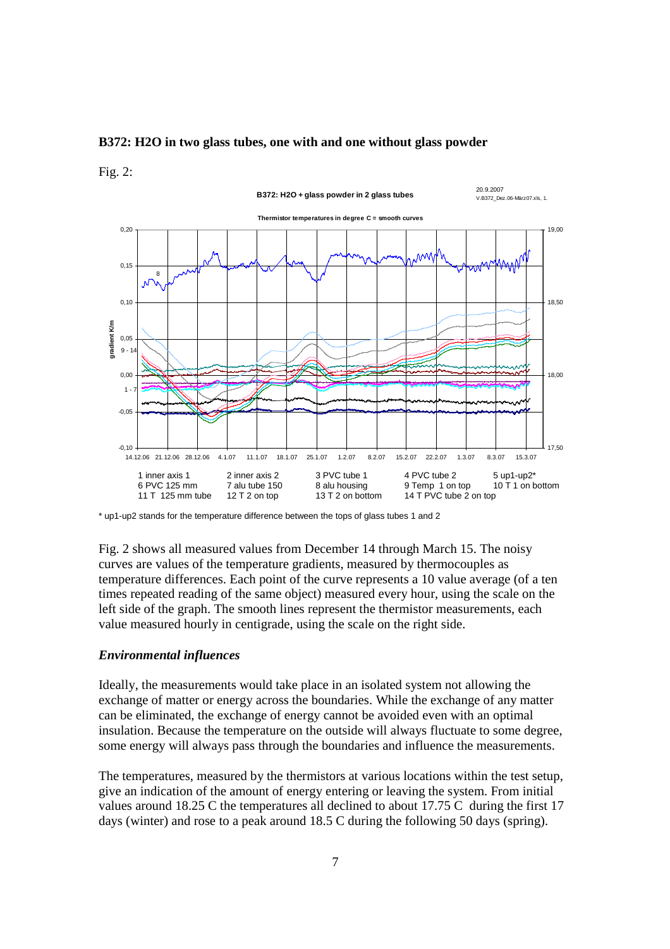#### **B372: H2O in two glass tubes, one with and one without glass powder**

#### Fig. 2:



\* up1-up2 stands for the temperature difference between the tops of glass tubes 1 and 2

Fig. 2 shows all measured values from December 14 through March 15. The noisy curves are values of the temperature gradients, measured by thermocouples as temperature differences. Each point of the curve represents a 10 value average (of a ten times repeated reading of the same object) measured every hour, using the scale on the left side of the graph. The smooth lines represent the thermistor measurements, each value measured hourly in centigrade, using the scale on the right side.

#### *Environmental influences*

Ideally, the measurements would take place in an isolated system not allowing the exchange of matter or energy across the boundaries. While the exchange of any matter can be eliminated, the exchange of energy cannot be avoided even with an optimal insulation. Because the temperature on the outside will always fluctuate to some degree, some energy will always pass through the boundaries and influence the measurements.

The temperatures, measured by the thermistors at various locations within the test setup, give an indication of the amount of energy entering or leaving the system. From initial values around 18.25 C the temperatures all declined to about 17.75 C during the first 17 days (winter) and rose to a peak around 18.5 C during the following 50 days (spring).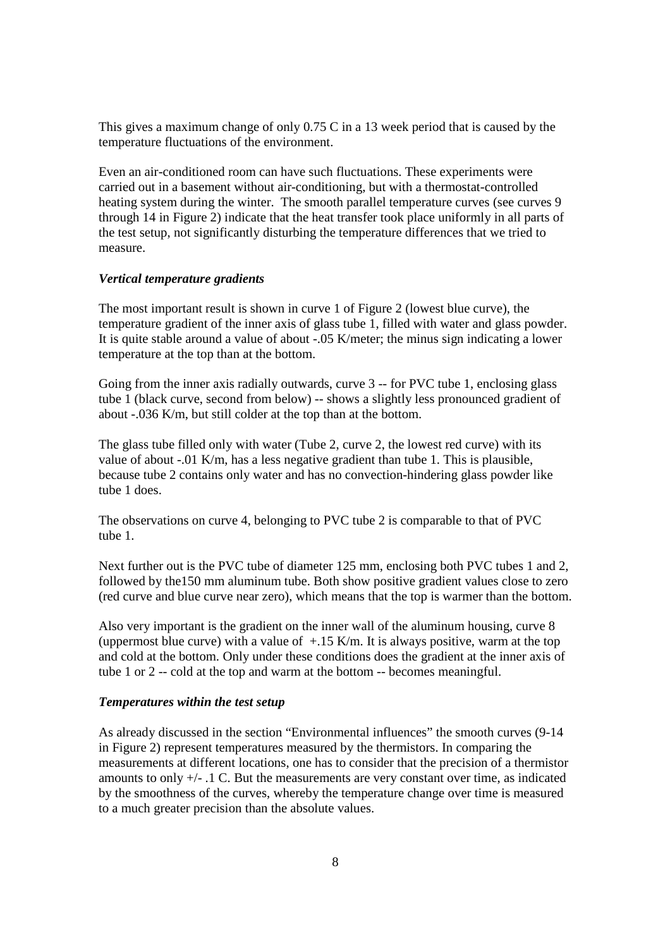This gives a maximum change of only 0.75 C in a 13 week period that is caused by the temperature fluctuations of the environment.

Even an air-conditioned room can have such fluctuations. These experiments were carried out in a basement without air-conditioning, but with a thermostat-controlled heating system during the winter. The smooth parallel temperature curves (see curves 9 through 14 in Figure 2) indicate that the heat transfer took place uniformly in all parts of the test setup, not significantly disturbing the temperature differences that we tried to measure.

#### *Vertical temperature gradients*

The most important result is shown in curve 1 of Figure 2 (lowest blue curve), the temperature gradient of the inner axis of glass tube 1, filled with water and glass powder. It is quite stable around a value of about -.05 K/meter; the minus sign indicating a lower temperature at the top than at the bottom.

Going from the inner axis radially outwards, curve 3 -- for PVC tube 1, enclosing glass tube 1 (black curve, second from below) -- shows a slightly less pronounced gradient of about -.036 K/m, but still colder at the top than at the bottom.

The glass tube filled only with water (Tube 2, curve 2, the lowest red curve) with its value of about -.01 K/m, has a less negative gradient than tube 1. This is plausible, because tube 2 contains only water and has no convection-hindering glass powder like tube 1 does.

The observations on curve 4, belonging to PVC tube 2 is comparable to that of PVC tube 1.

Next further out is the PVC tube of diameter 125 mm, enclosing both PVC tubes 1 and 2, followed by the150 mm aluminum tube. Both show positive gradient values close to zero (red curve and blue curve near zero), which means that the top is warmer than the bottom.

Also very important is the gradient on the inner wall of the aluminum housing, curve 8 (uppermost blue curve) with a value of  $+15$  K/m. It is always positive, warm at the top and cold at the bottom. Only under these conditions does the gradient at the inner axis of tube 1 or 2 -- cold at the top and warm at the bottom -- becomes meaningful.

#### *Temperatures within the test setup*

As already discussed in the section "Environmental influences" the smooth curves (9-14 in Figure 2) represent temperatures measured by the thermistors. In comparing the measurements at different locations, one has to consider that the precision of a thermistor amounts to only  $+/-$ . 1 C. But the measurements are very constant over time, as indicated by the smoothness of the curves, whereby the temperature change over time is measured to a much greater precision than the absolute values.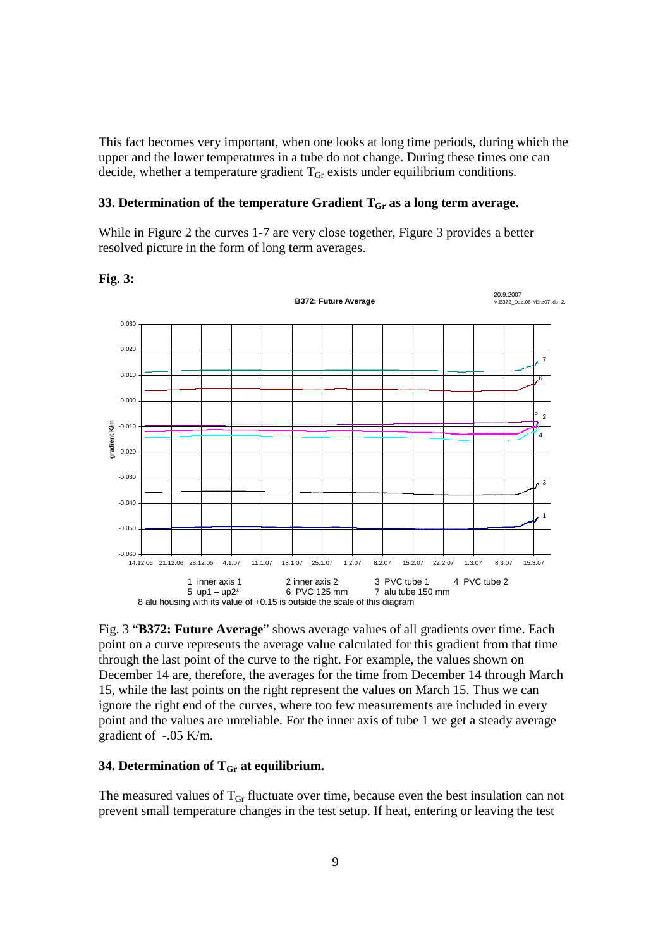This fact becomes very important, when one looks at long time periods, during which the upper and the lower temperatures in a tube do not change. During these times one can decide, whether a temperature gradient  $T<sub>Gr</sub>$  exists under equilibrium conditions.

#### **33. Determination of the temperature Gradient**  $T_{\text{Gr}}$  **as a long term average.**

While in Figure 2 the curves 1-7 are very close together, Figure 3 provides a better resolved picture in the form of long term averages.

**Fig. 3:** 



Fig. 3 "**B372: Future Average**" shows average values of all gradients over time. Each point on a curve represents the average value calculated for this gradient from that time through the last point of the curve to the right. For example, the values shown on December 14 are, therefore, the averages for the time from December 14 through March 15, while the last points on the right represent the values on March 15. Thus we can ignore the right end of the curves, where too few measurements are included in every point and the values are unreliable. For the inner axis of tube 1 we get a steady average gradient of -.05 K/m.

#### **34. Determination of TGr at equilibrium.**

The measured values of  $T_{\text{Gr}}$  fluctuate over time, because even the best insulation can not prevent small temperature changes in the test setup. If heat, entering or leaving the test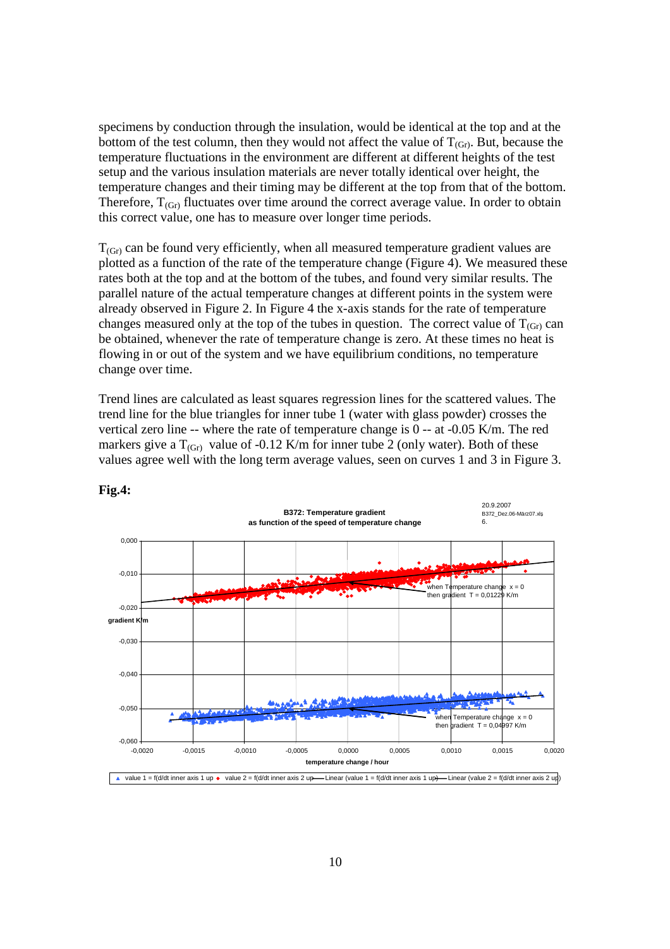specimens by conduction through the insulation, would be identical at the top and at the bottom of the test column, then they would not affect the value of  $T_{(Gr)}$ . But, because the temperature fluctuations in the environment are different at different heights of the test setup and the various insulation materials are never totally identical over height, the temperature changes and their timing may be different at the top from that of the bottom. Therefore,  $T_{(Gr)}$  fluctuates over time around the correct average value. In order to obtain this correct value, one has to measure over longer time periods.

 $T_{(Gr)}$  can be found very efficiently, when all measured temperature gradient values are plotted as a function of the rate of the temperature change (Figure 4). We measured these rates both at the top and at the bottom of the tubes, and found very similar results. The parallel nature of the actual temperature changes at different points in the system were already observed in Figure 2. In Figure 4 the x-axis stands for the rate of temperature changes measured only at the top of the tubes in question. The correct value of  $T_{(Gr)}$  can be obtained, whenever the rate of temperature change is zero. At these times no heat is flowing in or out of the system and we have equilibrium conditions, no temperature change over time.

Trend lines are calculated as least squares regression lines for the scattered values. The trend line for the blue triangles for inner tube 1 (water with glass powder) crosses the vertical zero line -- where the rate of temperature change is 0 -- at -0.05 K/m. The red markers give a  $T_{(Gr)}$  value of -0.12 K/m for inner tube 2 (only water). Both of these values agree well with the long term average values, seen on curves 1 and 3 in Figure 3.



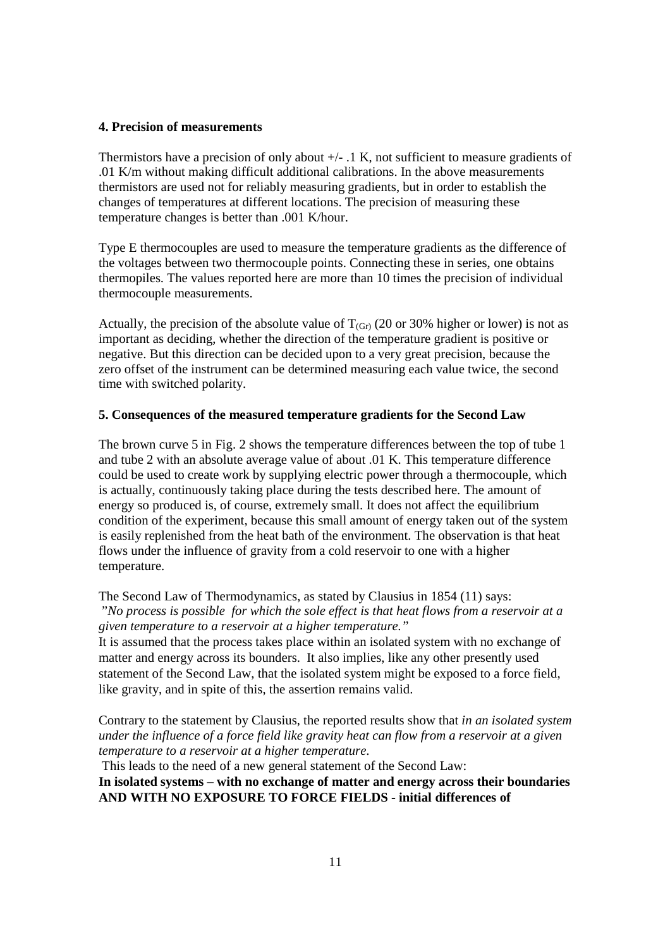#### **4. Precision of measurements**

Thermistors have a precision of only about  $+/-$ . 1 K, not sufficient to measure gradients of .01 K/m without making difficult additional calibrations. In the above measurements thermistors are used not for reliably measuring gradients, but in order to establish the changes of temperatures at different locations. The precision of measuring these temperature changes is better than .001 K/hour.

Type E thermocouples are used to measure the temperature gradients as the difference of the voltages between two thermocouple points. Connecting these in series, one obtains thermopiles. The values reported here are more than 10 times the precision of individual thermocouple measurements.

Actually, the precision of the absolute value of  $T_{(Gr)}$  (20 or 30% higher or lower) is not as important as deciding, whether the direction of the temperature gradient is positive or negative. But this direction can be decided upon to a very great precision, because the zero offset of the instrument can be determined measuring each value twice, the second time with switched polarity.

#### **5. Consequences of the measured temperature gradients for the Second Law**

The brown curve 5 in Fig. 2 shows the temperature differences between the top of tube 1 and tube 2 with an absolute average value of about .01 K. This temperature difference could be used to create work by supplying electric power through a thermocouple, which is actually, continuously taking place during the tests described here. The amount of energy so produced is, of course, extremely small. It does not affect the equilibrium condition of the experiment, because this small amount of energy taken out of the system is easily replenished from the heat bath of the environment. The observation is that heat flows under the influence of gravity from a cold reservoir to one with a higher temperature.

The Second Law of Thermodynamics, as stated by Clausius in 1854 (11) says: "*No process is possible for which the sole effect is that heat flows from a reservoir at a given temperature to a reservoir at a higher temperature."*

It is assumed that the process takes place within an isolated system with no exchange of matter and energy across its bounders. It also implies, like any other presently used statement of the Second Law, that the isolated system might be exposed to a force field, like gravity, and in spite of this, the assertion remains valid.

Contrary to the statement by Clausius, the reported results show that *in an isolated system under the influence of a force field like gravity heat can flow from a reservoir at a given temperature to a reservoir at a higher temperature.*

This leads to the need of a new general statement of the Second Law:

**In isolated systems – with no exchange of matter and energy across their boundaries AND WITH NO EXPOSURE TO FORCE FIELDS - initial differences of**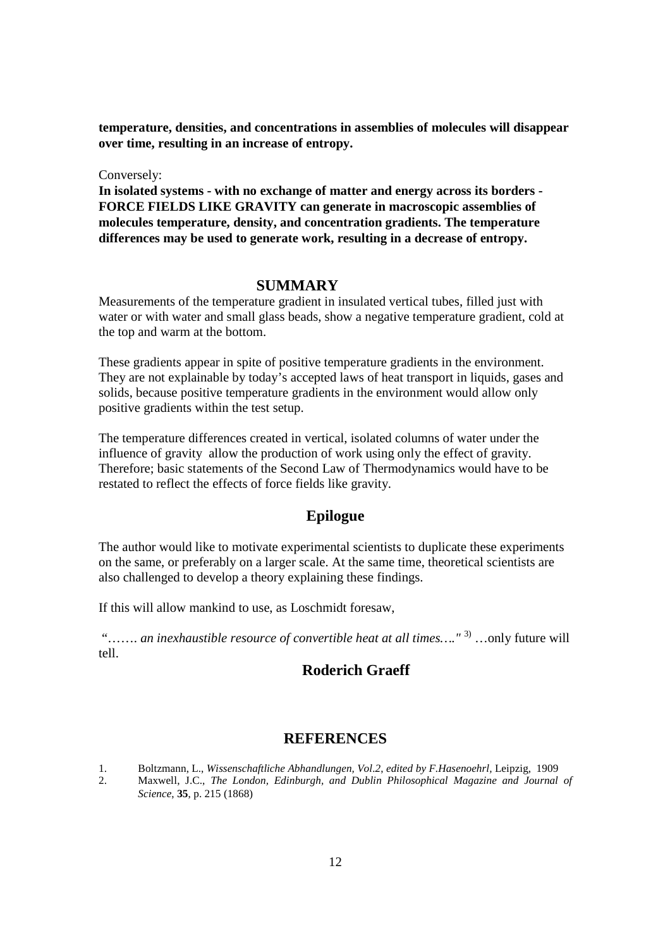**temperature, densities, and concentrations in assemblies of molecules will disappear over time, resulting in an increase of entropy.** 

Conversely:

**In isolated systems - with no exchange of matter and energy across its borders - FORCE FIELDS LIKE GRAVITY can generate in macroscopic assemblies of molecules temperature, density, and concentration gradients. The temperature differences may be used to generate work, resulting in a decrease of entropy.** 

#### **SUMMARY**

Measurements of the temperature gradient in insulated vertical tubes, filled just with water or with water and small glass beads, show a negative temperature gradient, cold at the top and warm at the bottom.

These gradients appear in spite of positive temperature gradients in the environment. They are not explainable by today's accepted laws of heat transport in liquids, gases and solids, because positive temperature gradients in the environment would allow only positive gradients within the test setup.

The temperature differences created in vertical, isolated columns of water under the influence of gravity allow the production of work using only the effect of gravity. Therefore; basic statements of the Second Law of Thermodynamics would have to be restated to reflect the effects of force fields like gravity.

## **Epilogue**

The author would like to motivate experimental scientists to duplicate these experiments on the same, or preferably on a larger scale. At the same time, theoretical scientists are also challenged to develop a theory explaining these findings.

If this will allow mankind to use, as Loschmidt foresaw,

"....... *an inexhaustible resource of convertible heat at all times....*"<sup>3)</sup> ...only future will tell.

## **Roderich Graeff**

## **REFERENCES**

- 1. Boltzmann, L., *Wissenschaftliche Abhandlungen, Vol.2*, *edited by F.Hasenoehrl,* Leipzig, 1909
- 2. Maxwell, J.C., *The London, Edinburgh, and Dublin Philosophical Magazine and Journal of Science*, **35**, p. 215 (1868)